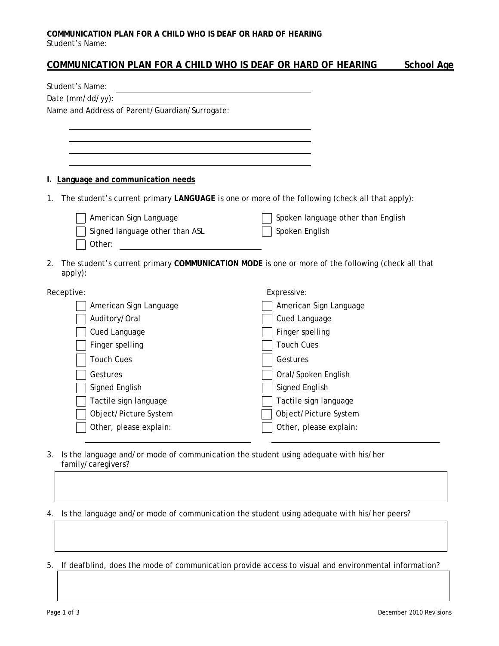### **COMMUNICATION PLAN FOR A CHILD WHO IS DEAF OR HARD OF HEARING** Student's Name:

# **COMMUNICATION PLAN FOR A CHILD WHO IS DEAF OR HARD OF HEARING School Age**

| Student's Name:                                                                                                                                                                                                                                |                                    |
|------------------------------------------------------------------------------------------------------------------------------------------------------------------------------------------------------------------------------------------------|------------------------------------|
| Date (mm/dd/yy):                                                                                                                                                                                                                               |                                    |
| Name and Address of Parent/Guardian/Surrogate:                                                                                                                                                                                                 |                                    |
|                                                                                                                                                                                                                                                |                                    |
|                                                                                                                                                                                                                                                |                                    |
|                                                                                                                                                                                                                                                |                                    |
|                                                                                                                                                                                                                                                |                                    |
| I. Language and communication needs                                                                                                                                                                                                            |                                    |
| The student's current primary LANGUAGE is one or more of the following (check all that apply):<br>1.                                                                                                                                           |                                    |
| American Sign Language                                                                                                                                                                                                                         | Spoken language other than English |
| Signed language other than ASL                                                                                                                                                                                                                 | Spoken English                     |
| Other:<br><u>and the community of the community of the community of the community of the community of the community of the community of the community of the community of the community of the community of the community of the community</u> |                                    |
| The student's current primary COMMUNICATION MODE is one or more of the following (check all that<br>2.<br>apply):                                                                                                                              |                                    |
| Receptive:                                                                                                                                                                                                                                     | Expressive:                        |
| American Sign Language                                                                                                                                                                                                                         | American Sign Language             |
| Auditory/Oral                                                                                                                                                                                                                                  | Cued Language                      |
| Cued Language                                                                                                                                                                                                                                  | Finger spelling                    |
| Finger spelling                                                                                                                                                                                                                                | <b>Touch Cues</b>                  |
| <b>Touch Cues</b>                                                                                                                                                                                                                              | Gestures                           |
| Gestures                                                                                                                                                                                                                                       | Oral/Spoken English                |
| Signed English                                                                                                                                                                                                                                 | Signed English                     |
| Tactile sign language                                                                                                                                                                                                                          | Tactile sign language              |
| Object/Picture System                                                                                                                                                                                                                          | Object/Picture System              |
| Other, please explain:                                                                                                                                                                                                                         | Other, please explain:             |
|                                                                                                                                                                                                                                                |                                    |

3. Is the language and/or mode of communication the student using adequate with his/her family/caregivers?

## 4. Is the language and/or mode of communication the student using adequate with his/her peers?

5. If deafblind, does the mode of communication provide access to visual and environmental information?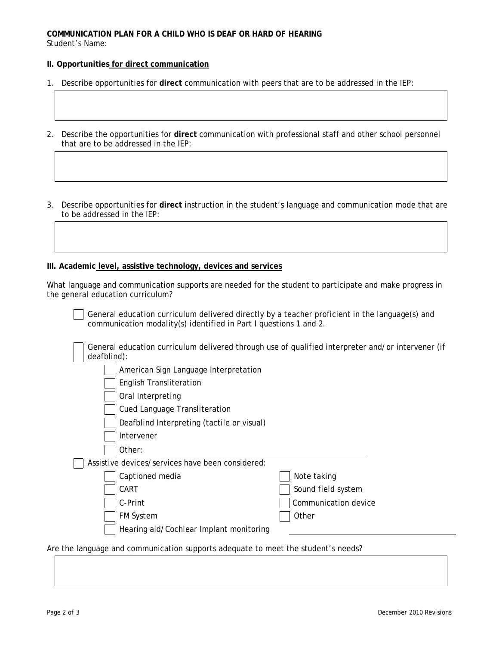### **COMMUNICATION PLAN FOR A CHILD WHO IS DEAF OR HARD OF HEARING** Student's Name:

## **II. Opportunities for direct communication**

- 1. Describe opportunities for **direct** communication with peers that are to be addressed in the IEP:
- 2. Describe the opportunities for **direct** communication with professional staff and other school personnel that are to be addressed in the IEP:
- 3. Describe opportunities for **direct** instruction in the student's language and communication mode that are to be addressed in the IEP:

#### **III. Academic level, assistive technology, devices and services**

| What language and communication supports are needed for the student to participate and make progress in |  |  |  |
|---------------------------------------------------------------------------------------------------------|--|--|--|
| the general education curriculum?                                                                       |  |  |  |

General education curriculum delivered directly by a teacher proficient in the language(s) and communication modality(s) identified in Part I questions 1 and 2.

| General education curriculum delivered through use of qualified interpreter and/or intervener (if |
|---------------------------------------------------------------------------------------------------|
| deafblind):                                                                                       |

- American Sign Language Interpretation
- English Transliteration
- Oral Interpreting
- Cued Language Transliteration
- Deafblind Interpreting (tactile or visual)
- Intervener
- Other:

Assistive devices/services have been considered:

| Captioned media | Note taking        |
|-----------------|--------------------|
| $\Box$ CART     | Sound field system |

C-Print C-Print C-Print C-Print

Note taking

FM System and Decree of the Contract of the Contract of the Contract of the Contract of the Other

Hearing aid/Cochlear Implant monitoring

Are the language and communication supports adequate to meet the student's needs?